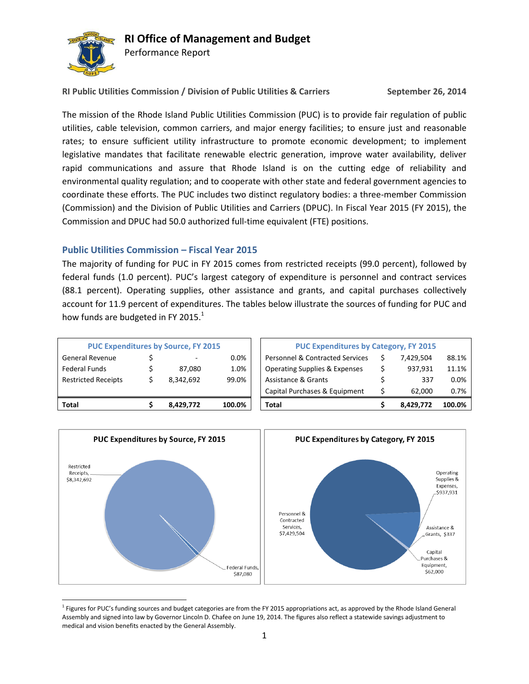

## **RI Office of Management and Budget**

Performance Report

**RI Public Utilities Commission / Division of Public Utilities & Carriers September 26, 2014**

The mission of the Rhode Island Public Utilities Commission (PUC) is to provide fair regulation of public utilities, cable television, common carriers, and major energy facilities; to ensure just and reasonable rates; to ensure sufficient utility infrastructure to promote economic development; to implement legislative mandates that facilitate renewable electric generation, improve water availability, deliver rapid communications and assure that Rhode Island is on the cutting edge of reliability and environmental quality regulation; and to cooperate with other state and federal government agencies to coordinate these efforts. The PUC includes two distinct regulatory bodies: a three-member Commission (Commission) and the Division of Public Utilities and Carriers (DPUC). In Fiscal Year 2015 (FY 2015), the Commission and DPUC had 50.0 authorized full-time equivalent (FTE) positions.

#### **Public Utilities Commission – Fiscal Year 2015**

The majority of funding for PUC in FY 2015 comes from restricted receipts (99.0 percent), followed by federal funds (1.0 percent). PUC's largest category of expenditure is personnel and contract services (88.1 percent). Operating supplies, other assistance and grants, and capital purchases collectively account for 11.9 percent of expenditures. The tables below illustrate the sources of funding for PUC and how funds are budgeted in FY 2015. $^{1}$ 

| <b>PUC Expenditures by Source, FY 2015</b> |  |           |        | <b>PUC Expenditures by Category, FY 2015</b> |  |           |        |
|--------------------------------------------|--|-----------|--------|----------------------------------------------|--|-----------|--------|
| <b>General Revenue</b>                     |  |           | 0.0%   | <b>Personnel &amp; Contracted Services</b>   |  | 7.429.504 |        |
| <b>Federal Funds</b>                       |  | 87.080    | 1.0%   | <b>Operating Supplies &amp; Expenses</b>     |  | 937.931   |        |
| <b>Restricted Receipts</b>                 |  | 8.342.692 | 99.0%  | Assistance & Grants                          |  | 337       |        |
|                                            |  |           |        | Capital Purchases & Equipment                |  | 62.000    |        |
| Total                                      |  | 8.429.772 | 100.0% | <b>Total</b>                                 |  | 8.429.772 | 100.0% |



 $\overline{\phantom{a}}$ <sup>1</sup> Figures for PUC's funding sources and budget categories are from the FY 2015 appropriations act, as approved by the Rhode Island General Assembly and signed into law by Governor Lincoln D. Chafee on June 19, 2014. The figures also reflect a statewide savings adjustment to medical and vision benefits enacted by the General Assembly.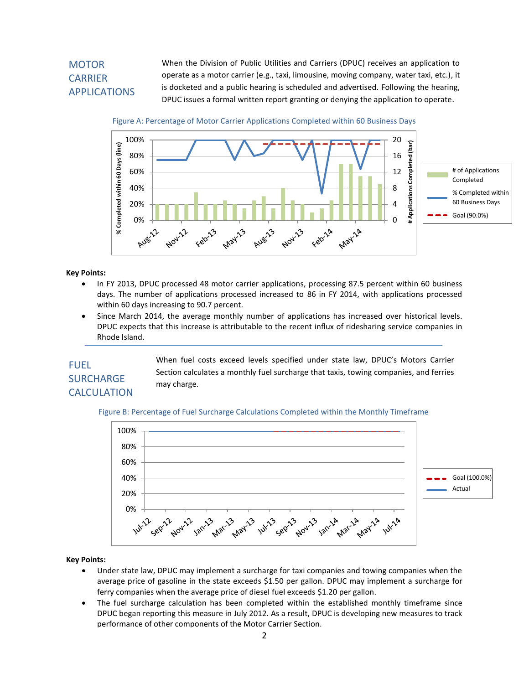# **MOTOR** CARRIER APPLICATIONS

When the Division of Public Utilities and Carriers (DPUC) receives an application to operate as a motor carrier (e.g., taxi, limousine, moving company, water taxi, etc.), it is docketed and a public hearing is scheduled and advertised. Following the hearing, DPUC issues a formal written report granting or denying the application to operate.

Figure A: Percentage of Motor Carrier Applications Completed within 60 Business Days



#### **Key Points:**

- In FY 2013, DPUC processed 48 motor carrier applications, processing 87.5 percent within 60 business days. The number of applications processed increased to 86 in FY 2014, with applications processed within 60 days increasing to 90.7 percent.
- Since March 2014, the average monthly number of applications has increased over historical levels. DPUC expects that this increase is attributable to the recent influx of ridesharing service companies in Rhode Island.

# FUEL **SURCHARGE CALCULATION**

When fuel costs exceed levels specified under state law, DPUC's Motors Carrier Section calculates a monthly fuel surcharge that taxis, towing companies, and ferries may charge.

#### Figure B: Percentage of Fuel Surcharge Calculations Completed within the Monthly Timeframe



#### **Key Points:**

- Under state law, DPUC may implement a surcharge for taxi companies and towing companies when the average price of gasoline in the state exceeds \$1.50 per gallon. DPUC may implement a surcharge for ferry companies when the average price of diesel fuel exceeds \$1.20 per gallon.
- The fuel surcharge calculation has been completed within the established monthly timeframe since DPUC began reporting this measure in July 2012. As a result, DPUC is developing new measures to track performance of other components of the Motor Carrier Section.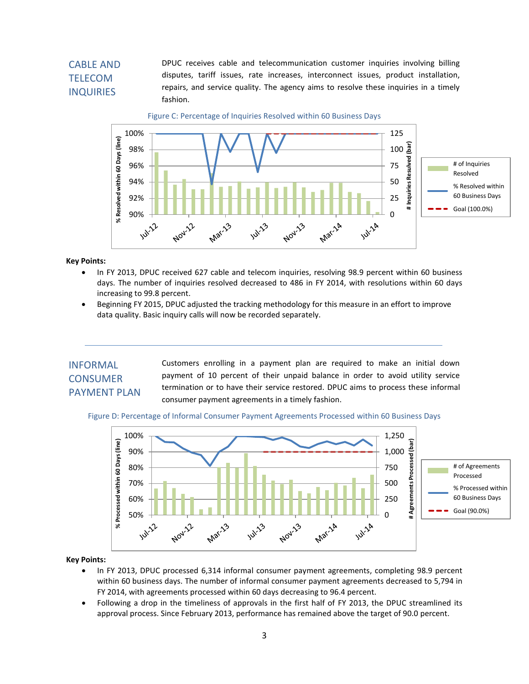## CABLE AND TELECOM INQUIRIES

DPUC receives cable and telecommunication customer inquiries involving billing disputes, tariff issues, rate increases, interconnect issues, product installation, repairs, and service quality. The agency aims to resolve these inquiries in a timely fashion.

Figure C: Percentage of Inquiries Resolved within 60 Business Days



**Key Points:**

- In FY 2013, DPUC received 627 cable and telecom inquiries, resolving 98.9 percent within 60 business days. The number of inquiries resolved decreased to 486 in FY 2014, with resolutions within 60 days increasing to 99.8 percent.
- Beginning FY 2015, DPUC adjusted the tracking methodology for this measure in an effort to improve data quality. Basic inquiry calls will now be recorded separately.

### INFORMAL **CONSUMER** PAYMENT PLAN

Customers enrolling in a payment plan are required to make an initial down payment of 10 percent of their unpaid balance in order to avoid utility service termination or to have their service restored. DPUC aims to process these informal consumer payment agreements in a timely fashion.

Figure D: Percentage of Informal Consumer Payment Agreements Processed within 60 Business Days



#### **Key Points:**

- In FY 2013, DPUC processed 6,314 informal consumer payment agreements, completing 98.9 percent within 60 business days. The number of informal consumer payment agreements decreased to 5,794 in FY 2014, with agreements processed within 60 days decreasing to 96.4 percent.
- Following a drop in the timeliness of approvals in the first half of FY 2013, the DPUC streamlined its approval process. Since February 2013, performance has remained above the target of 90.0 percent.